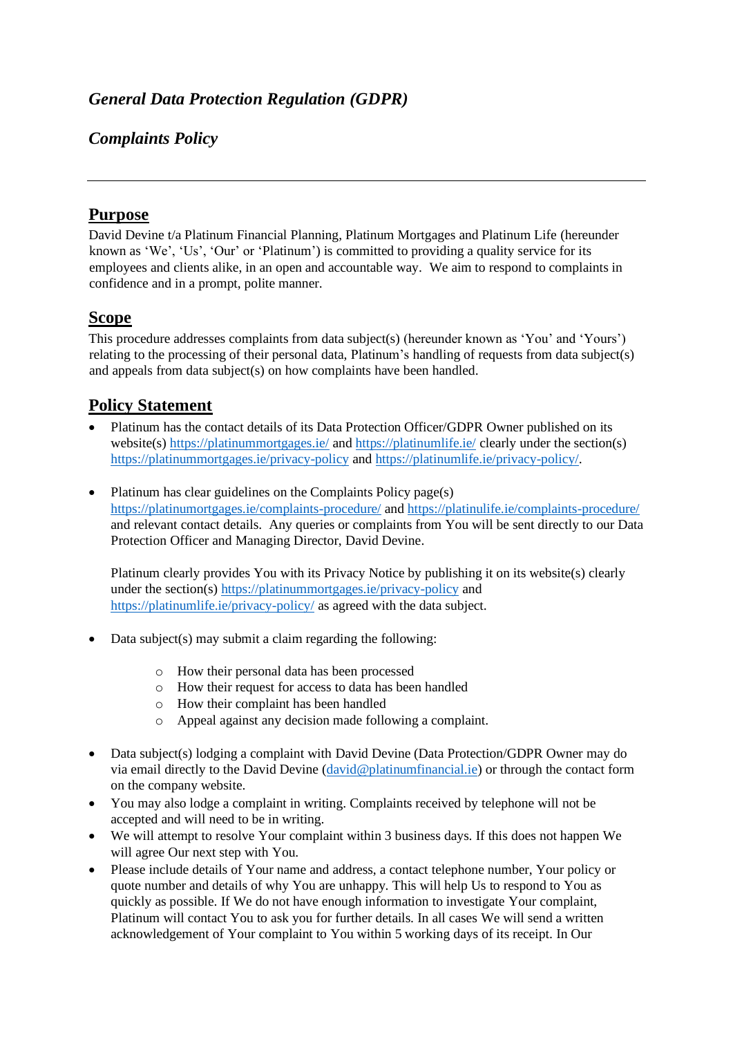# *Complaints Policy*

### **Purpose**

David Devine t/a Platinum Financial Planning, Platinum Mortgages and Platinum Life (hereunder known as 'We', 'Us', 'Our' or 'Platinum') is committed to providing a quality service for its employees and clients alike, in an open and accountable way. We aim to respond to complaints in confidence and in a prompt, polite manner.

### **Scope**

This procedure addresses complaints from data subject(s) (hereunder known as 'You' and 'Yours') relating to the processing of their personal data, Platinum's handling of requests from data subject(s) and appeals from data subject(s) on how complaints have been handled.

### **Policy Statement**

- Platinum has the contact details of its Data Protection Officer/GDPR Owner published on its website(s)<https://platinummortgages.ie/> an[d https://platinumlife.ie/](https://platinumlife.ie/) clearly under the section(s) <https://platinummortgages.ie/privacy-policy> and [https://platinumlife.ie/privacy-policy/.](https://platinumlife.ie/privacy-policy/)
- Platinum has clear guidelines on the Complaints Policy page(s) <https://platinumortgages.ie/complaints-procedure/> and<https://platinulife.ie/complaints-procedure/> and relevant contact details. Any queries or complaints from You will be sent directly to our Data Protection Officer and Managing Director, David Devine.

Platinum clearly provides You with its Privacy Notice by publishing it on its website(s) clearly under the section(s)<https://platinummortgages.ie/privacy-policy> and <https://platinumlife.ie/privacy-policy/> as agreed with the data subject.

- Data subject(s) may submit a claim regarding the following:
	- o How their personal data has been processed
	- o How their request for access to data has been handled
	- o How their complaint has been handled
	- o Appeal against any decision made following a complaint.
- Data subject(s) lodging a complaint with David Devine (Data Protection/GDPR Owner may do via email directly to the David Devine [\(david@platinumfinancial.ie\)](mailto:david@platinumfinancial.ie) or through the contact form on the company website.
- You may also lodge a complaint in writing. Complaints received by telephone will not be accepted and will need to be in writing.
- We will attempt to resolve Your complaint within 3 business days. If this does not happen We will agree Our next step with You.
- Please include details of Your name and address, a contact telephone number, Your policy or quote number and details of why You are unhappy. This will help Us to respond to You as quickly as possible. If We do not have enough information to investigate Your complaint, Platinum will contact You to ask you for further details. In all cases We will send a written acknowledgement of Your complaint to You within 5 working days of its receipt. In Our